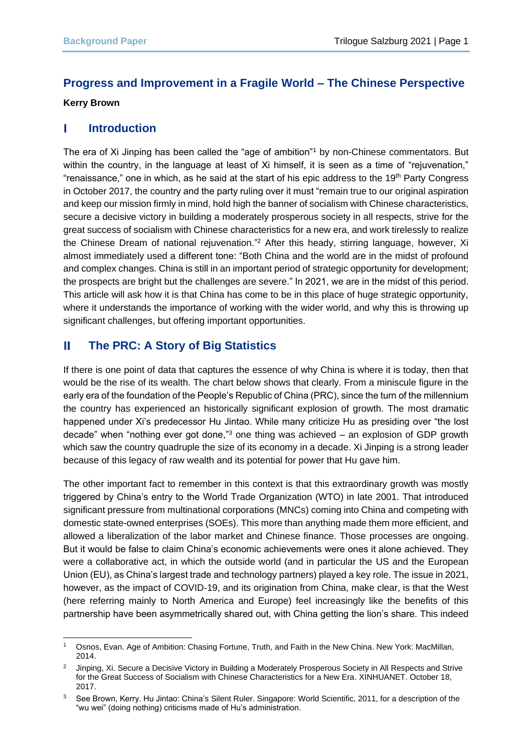# **Progress and Improvement in a Fragile World – The Chinese Perspective**

## **Kerry Brown**

#### **Introduction** L

The era of Xi Jinping has been called the "age of ambition"<sup>1</sup> by non-Chinese commentators. But within the country, in the language at least of Xi himself, it is seen as a time of "rejuvenation," "renaissance," one in which, as he said at the start of his epic address to the 19<sup>th</sup> Party Congress in October 2017, the country and the party ruling over it must "remain true to our original aspiration and keep our mission firmly in mind, hold high the banner of socialism with Chinese characteristics, secure a decisive victory in building a moderately prosperous society in all respects, strive for the great success of socialism with Chinese characteristics for a new era, and work tirelessly to realize the Chinese Dream of national rejuvenation."<sup>2</sup> After this heady, stirring language, however, Xi almost immediately used a different tone: "Both China and the world are in the midst of profound and complex changes. China is still in an important period of strategic opportunity for development; the prospects are bright but the challenges are severe." In 2021, we are in the midst of this period. This article will ask how it is that China has come to be in this place of huge strategic opportunity, where it understands the importance of working with the wider world, and why this is throwing up significant challenges, but offering important opportunities.

#### Ш **The PRC: A Story of Big Statistics**

If there is one point of data that captures the essence of why China is where it is today, then that would be the rise of its wealth. The chart below shows that clearly. From a miniscule figure in the early era of the foundation of the People's Republic of China (PRC), since the turn of the millennium the country has experienced an historically significant explosion of growth. The most dramatic happened under Xi's predecessor Hu Jintao. While many criticize Hu as presiding over "the lost decade" when "nothing ever got done,"<sup>3</sup> one thing was achieved – an explosion of GDP growth which saw the country quadruple the size of its economy in a decade. Xi Jinping is a strong leader because of this legacy of raw wealth and its potential for power that Hu gave him.

The other important fact to remember in this context is that this extraordinary growth was mostly triggered by China's entry to the World Trade Organization (WTO) in late 2001. That introduced significant pressure from multinational corporations (MNCs) coming into China and competing with domestic state-owned enterprises (SOEs). This more than anything made them more efficient, and allowed a liberalization of the labor market and Chinese finance. Those processes are ongoing. But it would be false to claim China's economic achievements were ones it alone achieved. They were a collaborative act, in which the outside world (and in particular the US and the European Union (EU), as China's largest trade and technology partners) played a key role. The issue in 2021, however, as the impact of COVID-19, and its origination from China, make clear, is that the West (here referring mainly to North America and Europe) feel increasingly like the benefits of this partnership have been asymmetrically shared out, with China getting the lion's share. This indeed

<sup>1</sup> Osnos, Evan. Age of Ambition: Chasing Fortune, Truth, and Faith in the New China. New York: MacMillan, 2014.

<sup>2</sup> Jinping, Xi. Secure a Decisive Victory in Building a Moderately Prosperous Society in All Respects and Strive for the Great Success of Socialism with Chinese Characteristics for a New Era. XINHUANET. October 18, 2017.

<sup>3</sup> See Brown, Kerry. Hu Jintao: China's Silent Ruler. Singapore: World Scientific, 2011, for a description of the "wu wei" (doing nothing) criticisms made of Hu's administration.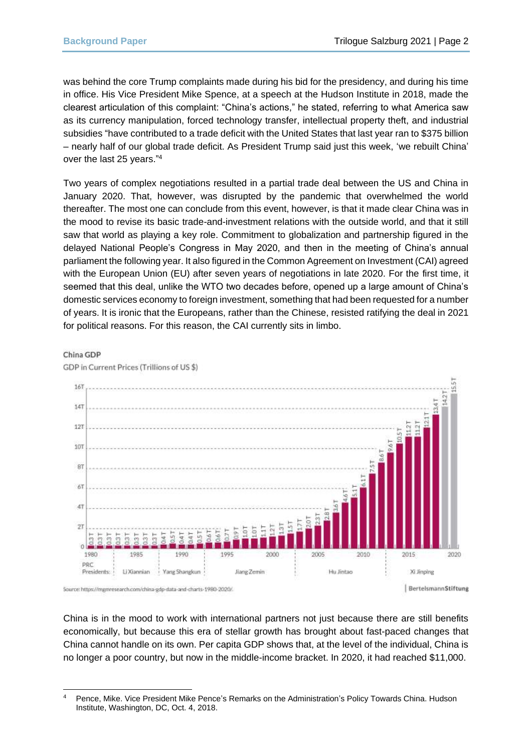was behind the core Trump complaints made during his bid for the presidency, and during his time in office. His Vice President Mike Spence, at a speech at the Hudson Institute in 2018, made the clearest articulation of this complaint: "China's actions," he stated, referring to what America saw as its currency manipulation, forced technology transfer, intellectual property theft, and industrial subsidies "have contributed to a trade deficit with the United States that last year ran to \$375 billion – nearly half of our global trade deficit. As President Trump said just this week, 'we rebuilt China' over the last 25 years." 4

Two years of complex negotiations resulted in a partial trade deal between the US and China in January 2020. That, however, was disrupted by the pandemic that overwhelmed the world thereafter. The most one can conclude from this event, however, is that it made clear China was in the mood to revise its basic trade-and-investment relations with the outside world, and that it still saw that world as playing a key role. Commitment to globalization and partnership figured in the delayed National People's Congress in May 2020, and then in the meeting of China's annual parliament the following year. It also figured in the Common Agreement on Investment (CAI) agreed with the European Union (EU) after seven years of negotiations in late 2020. For the first time, it seemed that this deal, unlike the WTO two decades before, opened up a large amount of China's domestic services economy to foreign investment, something that had been requested for a number of years. It is ironic that the Europeans, rather than the Chinese, resisted ratifying the deal in 2021 for political reasons. For this reason, the CAI currently sits in limbo.

## China GDP



GDP in Current Prices (Trillions of US \$)

China is in the mood to work with international partners not just because there are still benefits economically, but because this era of stellar growth has brought about fast-paced changes that China cannot handle on its own. Per capita GDP shows that, at the level of the individual, China is no longer a poor country, but now in the middle-income bracket. In 2020, it had reached \$11,000.

Pence, Mike. Vice President Mike Pence's Remarks on the Administration's Policy Towards China. Hudson Institute, Washington, DC, Oct. 4, 2018.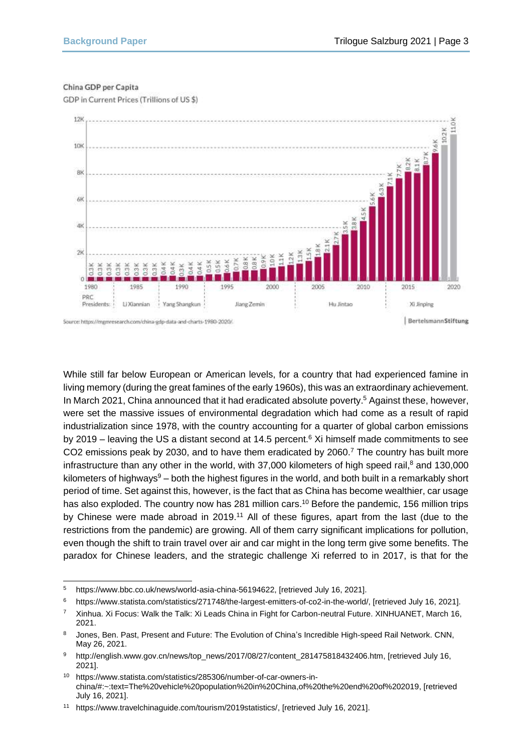### China GDP per Capita

GDP in Current Prices (Trillions of US \$)



While still far below European or American levels, for a country that had experienced famine in living memory (during the great famines of the early 1960s), this was an extraordinary achievement. In March 2021, China announced that it had eradicated absolute poverty.<sup>5</sup> Against these, however, were set the massive issues of environmental degradation which had come as a result of rapid industrialization since 1978, with the country accounting for a quarter of global carbon emissions by 2019 – leaving the US a distant second at 14.5 percent.<sup>6</sup> Xi himself made commitments to see CO2 emissions peak by 2030, and to have them eradicated by  $2060$ .<sup>7</sup> The country has built more infrastructure than any other in the world, with  $37,000$  kilometers of high speed rail, $8$  and  $130,000$ kilometers of highways $9 -$  both the highest figures in the world, and both built in a remarkably short period of time. Set against this, however, is the fact that as China has become wealthier, car usage has also exploded. The country now has 281 million cars.<sup>10</sup> Before the pandemic, 156 million trips by Chinese were made abroad in 2019.<sup>11</sup> All of these figures, apart from the last (due to the restrictions from the pandemic) are growing. All of them carry significant implications for pollution, even though the shift to train travel over air and car might in the long term give some benefits. The paradox for Chinese leaders, and the strategic challenge Xi referred to in 2017, is that for the

<sup>5</sup> https://www.bbc.co.uk/news/world-asia-china-56194622, [retrieved July 16, 2021].

<sup>6</sup> https://www.statista.com/statistics/271748/the-largest-emitters-of-co2-in-the-world/, [retrieved July 16, 2021].

<sup>7</sup> Xinhua. Xi Focus: Walk the Talk: Xi Leads China in Fight for Carbon-neutral Future. XINHUANET, March 16, 2021.

<sup>8</sup> Jones, Ben. Past, Present and Future: The Evolution of China's Incredible High-speed Rail Network. CNN, May 26, 2021.

<sup>9</sup> http://english.www.gov.cn/news/top\_news/2017/08/27/content\_281475818432406.htm, [retrieved July 16, 2021].

<sup>10</sup> https://www.statista.com/statistics/285306/number-of-car-owners-inchina/#:~:text=The%20vehicle%20population%20in%20China,of%20the%20end%20of%202019, [retrieved July 16, 2021].

<sup>11</sup> https://www.travelchinaguide.com/tourism/2019statistics/, [retrieved July 16, 2021].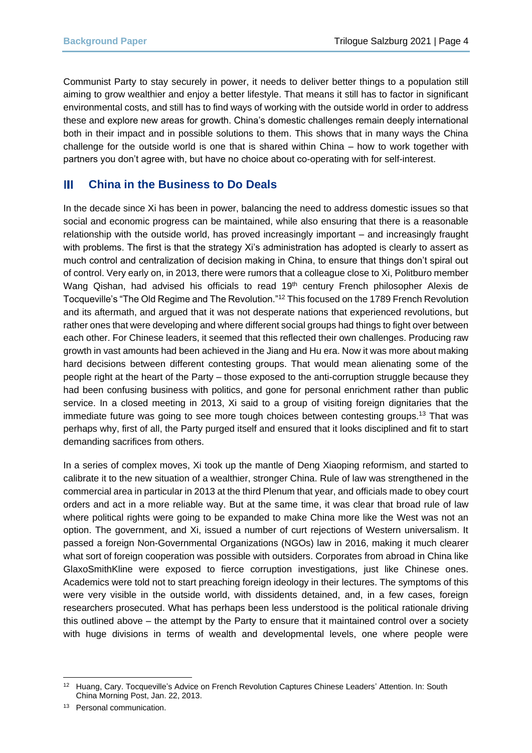Communist Party to stay securely in power, it needs to deliver better things to a population still aiming to grow wealthier and enjoy a better lifestyle. That means it still has to factor in significant environmental costs, and still has to find ways of working with the outside world in order to address these and explore new areas for growth. China's domestic challenges remain deeply international both in their impact and in possible solutions to them. This shows that in many ways the China challenge for the outside world is one that is shared within China – how to work together with partners you don't agree with, but have no choice about co-operating with for self-interest.

#### Ш **China in the Business to Do Deals**

In the decade since Xi has been in power, balancing the need to address domestic issues so that social and economic progress can be maintained, while also ensuring that there is a reasonable relationship with the outside world, has proved increasingly important – and increasingly fraught with problems. The first is that the strategy Xi's administration has adopted is clearly to assert as much control and centralization of decision making in China, to ensure that things don't spiral out of control. Very early on, in 2013, there were rumors that a colleague close to Xi, Politburo member Wang Qishan, had advised his officials to read 19<sup>th</sup> century French philosopher Alexis de Tocqueville's "The Old Regime and The Revolution."<sup>12</sup> This focused on the 1789 French Revolution and its aftermath, and argued that it was not desperate nations that experienced revolutions, but rather ones that were developing and where different social groups had things to fight over between each other. For Chinese leaders, it seemed that this reflected their own challenges. Producing raw growth in vast amounts had been achieved in the Jiang and Hu era. Now it was more about making hard decisions between different contesting groups. That would mean alienating some of the people right at the heart of the Party – those exposed to the anti-corruption struggle because they had been confusing business with politics, and gone for personal enrichment rather than public service. In a closed meeting in 2013, Xi said to a group of visiting foreign dignitaries that the immediate future was going to see more tough choices between contesting groups.<sup>13</sup> That was perhaps why, first of all, the Party purged itself and ensured that it looks disciplined and fit to start demanding sacrifices from others.

In a series of complex moves, Xi took up the mantle of Deng Xiaoping reformism, and started to calibrate it to the new situation of a wealthier, stronger China. Rule of law was strengthened in the commercial area in particular in 2013 at the third Plenum that year, and officials made to obey court orders and act in a more reliable way. But at the same time, it was clear that broad rule of law where political rights were going to be expanded to make China more like the West was not an option. The government, and Xi, issued a number of curt rejections of Western universalism. It passed a foreign Non-Governmental Organizations (NGOs) law in 2016, making it much clearer what sort of foreign cooperation was possible with outsiders. Corporates from abroad in China like GlaxoSmithKline were exposed to fierce corruption investigations, just like Chinese ones. Academics were told not to start preaching foreign ideology in their lectures. The symptoms of this were very visible in the outside world, with dissidents detained, and, in a few cases, foreign researchers prosecuted. What has perhaps been less understood is the political rationale driving this outlined above – the attempt by the Party to ensure that it maintained control over a society with huge divisions in terms of wealth and developmental levels, one where people were

<sup>12</sup> Huang, Cary. Tocqueville's Advice on French Revolution Captures Chinese Leaders' Attention. In: South China Morning Post, Jan. 22, 2013.

<sup>&</sup>lt;sup>13</sup> Personal communication.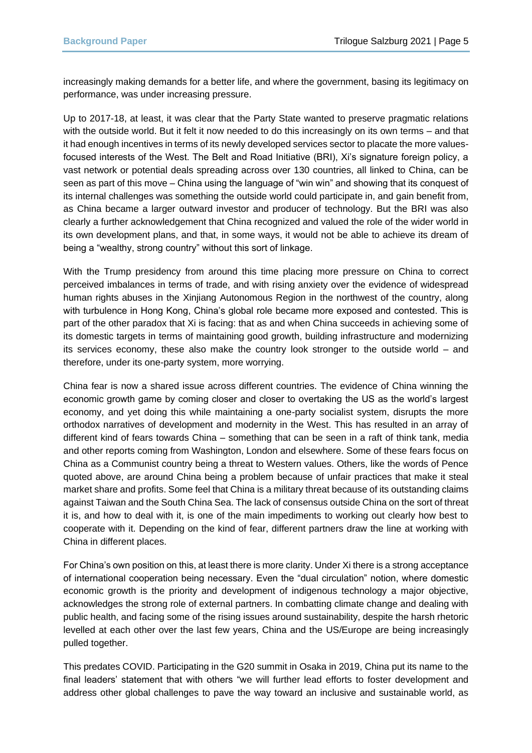increasingly making demands for a better life, and where the government, basing its legitimacy on performance, was under increasing pressure.

Up to 2017-18, at least, it was clear that the Party State wanted to preserve pragmatic relations with the outside world. But it felt it now needed to do this increasingly on its own terms – and that it had enough incentives in terms of its newly developed services sector to placate the more valuesfocused interests of the West. The Belt and Road Initiative (BRI), Xi's signature foreign policy, a vast network or potential deals spreading across over 130 countries, all linked to China, can be seen as part of this move – China using the language of "win win" and showing that its conquest of its internal challenges was something the outside world could participate in, and gain benefit from, as China became a larger outward investor and producer of technology. But the BRI was also clearly a further acknowledgement that China recognized and valued the role of the wider world in its own development plans, and that, in some ways, it would not be able to achieve its dream of being a "wealthy, strong country" without this sort of linkage.

With the Trump presidency from around this time placing more pressure on China to correct perceived imbalances in terms of trade, and with rising anxiety over the evidence of widespread human rights abuses in the Xinjiang Autonomous Region in the northwest of the country, along with turbulence in Hong Kong, China's global role became more exposed and contested. This is part of the other paradox that Xi is facing: that as and when China succeeds in achieving some of its domestic targets in terms of maintaining good growth, building infrastructure and modernizing its services economy, these also make the country look stronger to the outside world – and therefore, under its one-party system, more worrying.

China fear is now a shared issue across different countries. The evidence of China winning the economic growth game by coming closer and closer to overtaking the US as the world's largest economy, and yet doing this while maintaining a one-party socialist system, disrupts the more orthodox narratives of development and modernity in the West. This has resulted in an array of different kind of fears towards China – something that can be seen in a raft of think tank, media and other reports coming from Washington, London and elsewhere. Some of these fears focus on China as a Communist country being a threat to Western values. Others, like the words of Pence quoted above, are around China being a problem because of unfair practices that make it steal market share and profits. Some feel that China is a military threat because of its outstanding claims against Taiwan and the South China Sea. The lack of consensus outside China on the sort of threat it is, and how to deal with it, is one of the main impediments to working out clearly how best to cooperate with it. Depending on the kind of fear, different partners draw the line at working with China in different places.

For China's own position on this, at least there is more clarity. Under Xi there is a strong acceptance of international cooperation being necessary. Even the "dual circulation" notion, where domestic economic growth is the priority and development of indigenous technology a major objective, acknowledges the strong role of external partners. In combatting climate change and dealing with public health, and facing some of the rising issues around sustainability, despite the harsh rhetoric levelled at each other over the last few years, China and the US/Europe are being increasingly pulled together.

This predates COVID. Participating in the G20 summit in Osaka in 2019, China put its name to the final leaders' statement that with others "we will further lead efforts to foster development and address other global challenges to pave the way toward an inclusive and sustainable world, as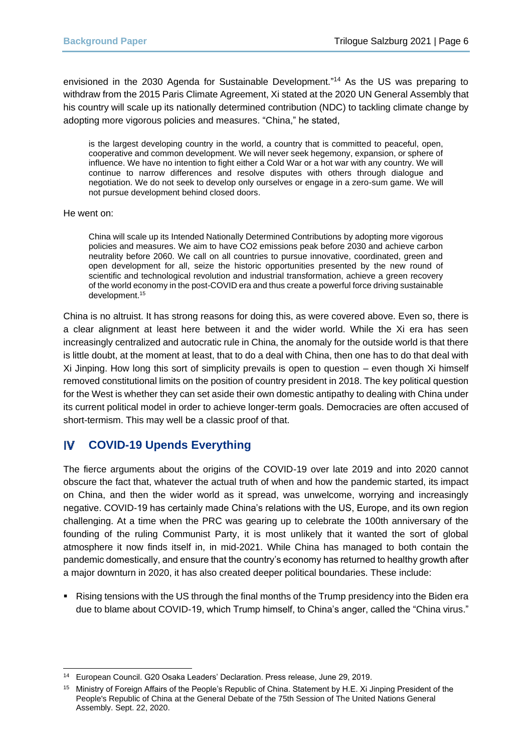envisioned in the 2030 Agenda for Sustainable Development." <sup>14</sup> As the US was preparing to withdraw from the 2015 Paris Climate Agreement, Xi stated at the 2020 UN General Assembly that his country will scale up its nationally determined contribution (NDC) to tackling climate change by adopting more vigorous policies and measures. "China," he stated,

is the largest developing country in the world, a country that is committed to peaceful, open, cooperative and common development. We will never seek hegemony, expansion, or sphere of influence. We have no intention to fight either a Cold War or a hot war with any country. We will continue to narrow differences and resolve disputes with others through dialogue and negotiation. We do not seek to develop only ourselves or engage in a zero-sum game. We will not pursue development behind closed doors.

He went on:

China will scale up its Intended Nationally Determined Contributions by adopting more vigorous policies and measures. We aim to have CO2 emissions peak before 2030 and achieve carbon neutrality before 2060. We call on all countries to pursue innovative, coordinated, green and open development for all, seize the historic opportunities presented by the new round of scientific and technological revolution and industrial transformation, achieve a green recovery of the world economy in the post-COVID era and thus create a powerful force driving sustainable development.<sup>15</sup>

China is no altruist. It has strong reasons for doing this, as were covered above. Even so, there is a clear alignment at least here between it and the wider world. While the Xi era has seen increasingly centralized and autocratic rule in China, the anomaly for the outside world is that there is little doubt, at the moment at least, that to do a deal with China, then one has to do that deal with Xi Jinping. How long this sort of simplicity prevails is open to question – even though Xi himself removed constitutional limits on the position of country president in 2018. The key political question for the West is whether they can set aside their own domestic antipathy to dealing with China under its current political model in order to achieve longer-term goals. Democracies are often accused of short-termism. This may well be a classic proof of that.

#### IV **COVID-19 Upends Everything**

The fierce arguments about the origins of the COVID-19 over late 2019 and into 2020 cannot obscure the fact that, whatever the actual truth of when and how the pandemic started, its impact on China, and then the wider world as it spread, was unwelcome, worrying and increasingly negative. COVID-19 has certainly made China's relations with the US, Europe, and its own region challenging. At a time when the PRC was gearing up to celebrate the 100th anniversary of the founding of the ruling Communist Party, it is most unlikely that it wanted the sort of global atmosphere it now finds itself in, in mid-2021. While China has managed to both contain the pandemic domestically, and ensure that the country's economy has returned to healthy growth after a major downturn in 2020, it has also created deeper political boundaries. These include:

■ Rising tensions with the US through the final months of the Trump presidency into the Biden era due to blame about COVID-19, which Trump himself, to China's anger, called the "China virus."

<sup>14</sup> European Council. G20 Osaka Leaders' Declaration. Press release, June 29, 2019.

<sup>15</sup> Ministry of Foreign Affairs of the People's Republic of China. Statement by H.E. Xi Jinping President of the People's Republic of China at the General Debate of the 75th Session of The United Nations General Assembly. Sept. 22, 2020.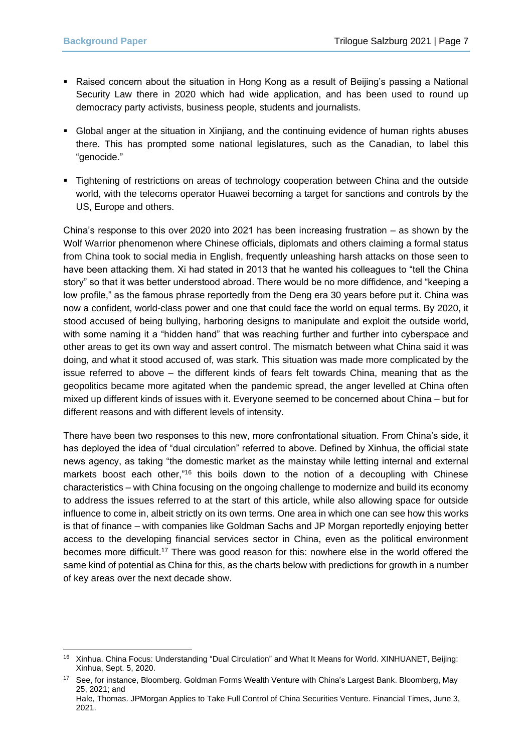- Raised concern about the situation in Hong Kong as a result of Beijing's passing a National Security Law there in 2020 which had wide application, and has been used to round up democracy party activists, business people, students and journalists.
- Global anger at the situation in Xinjiang, and the continuing evidence of human rights abuses there. This has prompted some national legislatures, such as the Canadian, to label this "genocide."
- **•** Tightening of restrictions on areas of technology cooperation between China and the outside world, with the telecoms operator Huawei becoming a target for sanctions and controls by the US, Europe and others.

China's response to this over 2020 into 2021 has been increasing frustration – as shown by the Wolf Warrior phenomenon where Chinese officials, diplomats and others claiming a formal status from China took to social media in English, frequently unleashing harsh attacks on those seen to have been attacking them. Xi had stated in 2013 that he wanted his colleagues to "tell the China story" so that it was better understood abroad. There would be no more diffidence, and "keeping a low profile," as the famous phrase reportedly from the Deng era 30 years before put it. China was now a confident, world-class power and one that could face the world on equal terms. By 2020, it stood accused of being bullying, harboring designs to manipulate and exploit the outside world, with some naming it a "hidden hand" that was reaching further and further into cyberspace and other areas to get its own way and assert control. The mismatch between what China said it was doing, and what it stood accused of, was stark. This situation was made more complicated by the issue referred to above – the different kinds of fears felt towards China, meaning that as the geopolitics became more agitated when the pandemic spread, the anger levelled at China often mixed up different kinds of issues with it. Everyone seemed to be concerned about China – but for different reasons and with different levels of intensity.

There have been two responses to this new, more confrontational situation. From China's side, it has deployed the idea of "dual circulation" referred to above. Defined by Xinhua, the official state news agency, as taking "the domestic market as the mainstay while letting internal and external markets boost each other,"<sup>16</sup> this boils down to the notion of a decoupling with Chinese characteristics – with China focusing on the ongoing challenge to modernize and build its economy to address the issues referred to at the start of this article, while also allowing space for outside influence to come in, albeit strictly on its own terms. One area in which one can see how this works is that of finance – with companies like Goldman Sachs and JP Morgan reportedly enjoying better access to the developing financial services sector in China, even as the political environment becomes more difficult.<sup>17</sup> There was good reason for this: nowhere else in the world offered the same kind of potential as China for this, as the charts below with predictions for growth in a number of key areas over the next decade show.

<sup>16</sup> Xinhua. China Focus: Understanding "Dual Circulation" and What It Means for World. XINHUANET, Beijing: Xinhua, Sept. 5, 2020.

<sup>&</sup>lt;sup>17</sup> See, for instance, Bloomberg. Goldman Forms Wealth Venture with China's Largest Bank. Bloomberg, May 25, 2021; and Hale, Thomas. JPMorgan Applies to Take Full Control of China Securities Venture. Financial Times, June 3, 2021.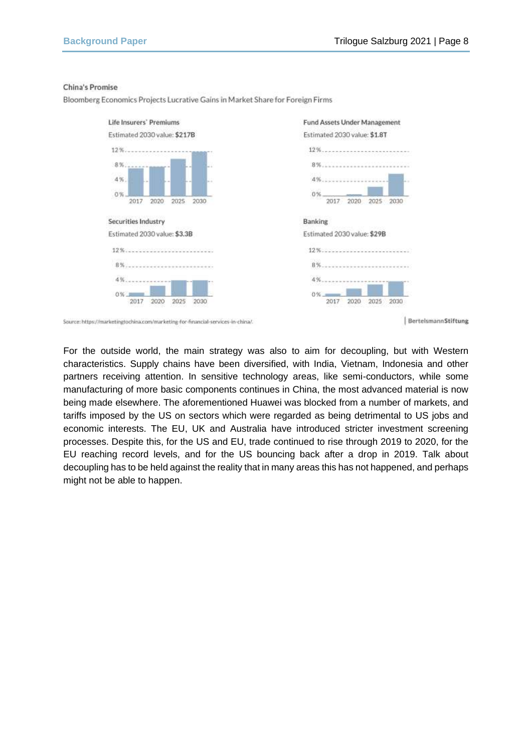### **China's Promise**

Bloomberg Economics Projects Lucrative Gains in Market Share for Foreign Firms



For the outside world, the main strategy was also to aim for decoupling, but with Western characteristics. Supply chains have been diversified, with India, Vietnam, Indonesia and other partners receiving attention. In sensitive technology areas, like semi-conductors, while some manufacturing of more basic components continues in China, the most advanced material is now being made elsewhere. The aforementioned Huawei was blocked from a number of markets, and tariffs imposed by the US on sectors which were regarded as being detrimental to US jobs and economic interests. The EU, UK and Australia have introduced stricter investment screening processes. Despite this, for the US and EU, trade continued to rise through 2019 to 2020, for the EU reaching record levels, and for the US bouncing back after a drop in 2019. Talk about decoupling has to be held against the reality that in many areas this has not happened, and perhaps might not be able to happen.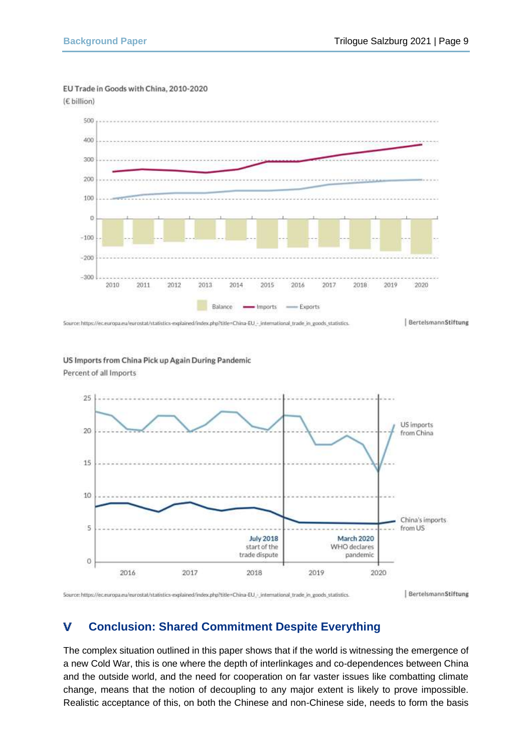

(€ billion)



## US Imports from China Pick up Again During Pandemic Percent of all Imports



Source: https://ec.europa.eu/eurostat/statistics-explained/index.php?title=China-EU - jnternational\_trade\_in\_goods\_statistics.

BertelsmannStiftung

#### v **Conclusion: Shared Commitment Despite Everything**

The complex situation outlined in this paper shows that if the world is witnessing the emergence of a new Cold War, this is one where the depth of interlinkages and co-dependences between China and the outside world, and the need for cooperation on far vaster issues like combatting climate change, means that the notion of decoupling to any major extent is likely to prove impossible. Realistic acceptance of this, on both the Chinese and non-Chinese side, needs to form the basis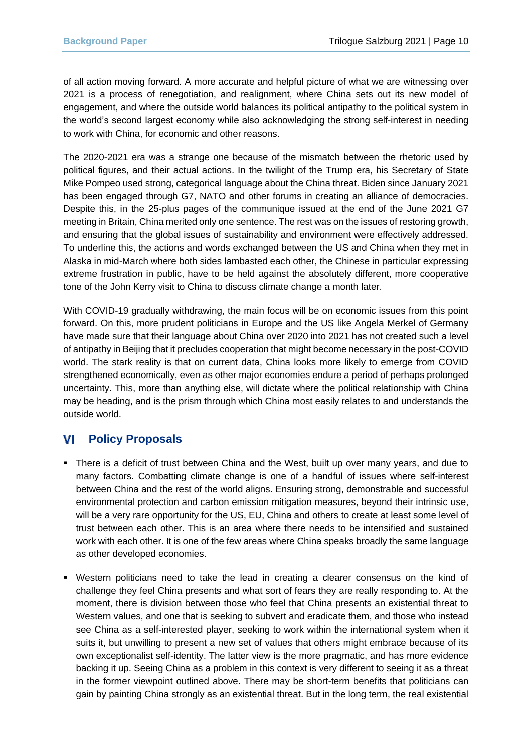of all action moving forward. A more accurate and helpful picture of what we are witnessing over 2021 is a process of renegotiation, and realignment, where China sets out its new model of engagement, and where the outside world balances its political antipathy to the political system in the world's second largest economy while also acknowledging the strong self-interest in needing to work with China, for economic and other reasons.

The 2020-2021 era was a strange one because of the mismatch between the rhetoric used by political figures, and their actual actions. In the twilight of the Trump era, his Secretary of State Mike Pompeo used strong, categorical language about the China threat. Biden since January 2021 has been engaged through G7, NATO and other forums in creating an alliance of democracies. Despite this, in the 25-plus pages of the communique issued at the end of the June 2021 G7 meeting in Britain, China merited only one sentence. The rest was on the issues of restoring growth, and ensuring that the global issues of sustainability and environment were effectively addressed. To underline this, the actions and words exchanged between the US and China when they met in Alaska in mid-March where both sides lambasted each other, the Chinese in particular expressing extreme frustration in public, have to be held against the absolutely different, more cooperative tone of the John Kerry visit to China to discuss climate change a month later.

With COVID-19 gradually withdrawing, the main focus will be on economic issues from this point forward. On this, more prudent politicians in Europe and the US like Angela Merkel of Germany have made sure that their language about China over 2020 into 2021 has not created such a level of antipathy in Beijing that it precludes cooperation that might become necessary in the post-COVID world. The stark reality is that on current data, China looks more likely to emerge from COVID strengthened economically, even as other major economies endure a period of perhaps prolonged uncertainty. This, more than anything else, will dictate where the political relationship with China may be heading, and is the prism through which China most easily relates to and understands the outside world.

#### **Policy Proposals** vı

- There is a deficit of trust between China and the West, built up over many years, and due to many factors. Combatting climate change is one of a handful of issues where self-interest between China and the rest of the world aligns. Ensuring strong, demonstrable and successful environmental protection and carbon emission mitigation measures, beyond their intrinsic use, will be a very rare opportunity for the US, EU, China and others to create at least some level of trust between each other. This is an area where there needs to be intensified and sustained work with each other. It is one of the few areas where China speaks broadly the same language as other developed economies.
- Western politicians need to take the lead in creating a clearer consensus on the kind of challenge they feel China presents and what sort of fears they are really responding to. At the moment, there is division between those who feel that China presents an existential threat to Western values, and one that is seeking to subvert and eradicate them, and those who instead see China as a self-interested player, seeking to work within the international system when it suits it, but unwilling to present a new set of values that others might embrace because of its own exceptionalist self-identity. The latter view is the more pragmatic, and has more evidence backing it up. Seeing China as a problem in this context is very different to seeing it as a threat in the former viewpoint outlined above. There may be short-term benefits that politicians can gain by painting China strongly as an existential threat. But in the long term, the real existential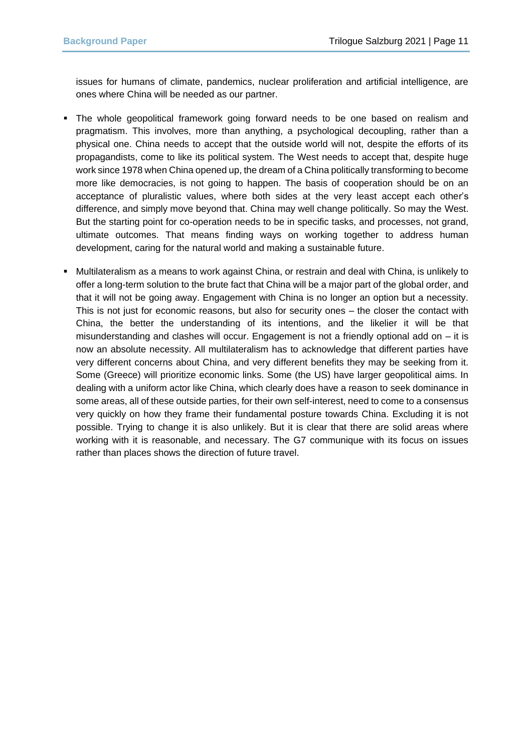issues for humans of climate, pandemics, nuclear proliferation and artificial intelligence, are ones where China will be needed as our partner.

- The whole geopolitical framework going forward needs to be one based on realism and pragmatism. This involves, more than anything, a psychological decoupling, rather than a physical one. China needs to accept that the outside world will not, despite the efforts of its propagandists, come to like its political system. The West needs to accept that, despite huge work since 1978 when China opened up, the dream of a China politically transforming to become more like democracies, is not going to happen. The basis of cooperation should be on an acceptance of pluralistic values, where both sides at the very least accept each other's difference, and simply move beyond that. China may well change politically. So may the West. But the starting point for co-operation needs to be in specific tasks, and processes, not grand, ultimate outcomes. That means finding ways on working together to address human development, caring for the natural world and making a sustainable future.
- Multilateralism as a means to work against China, or restrain and deal with China, is unlikely to offer a long-term solution to the brute fact that China will be a major part of the global order, and that it will not be going away. Engagement with China is no longer an option but a necessity. This is not just for economic reasons, but also for security ones – the closer the contact with China, the better the understanding of its intentions, and the likelier it will be that misunderstanding and clashes will occur. Engagement is not a friendly optional add on  $-$  it is now an absolute necessity. All multilateralism has to acknowledge that different parties have very different concerns about China, and very different benefits they may be seeking from it. Some (Greece) will prioritize economic links. Some (the US) have larger geopolitical aims. In dealing with a uniform actor like China, which clearly does have a reason to seek dominance in some areas, all of these outside parties, for their own self-interest, need to come to a consensus very quickly on how they frame their fundamental posture towards China. Excluding it is not possible. Trying to change it is also unlikely. But it is clear that there are solid areas where working with it is reasonable, and necessary. The G7 communique with its focus on issues rather than places shows the direction of future travel.